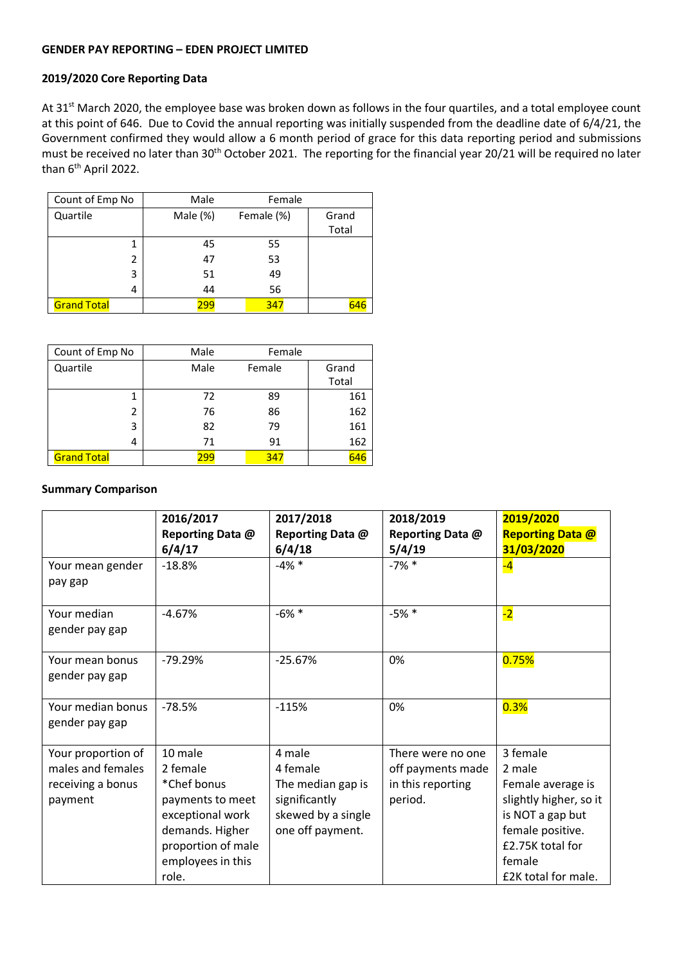#### **GENDER PAY REPORTING – EDEN PROJECT LIMITED**

## **2019/2020 Core Reporting Data**

At 31<sup>st</sup> March 2020, the employee base was broken down as follows in the four quartiles, and a total employee count at this point of 646. Due to Covid the annual reporting was initially suspended from the deadline date of 6/4/21, the Government confirmed they would allow a 6 month period of grace for this data reporting period and submissions must be received no later than 30<sup>th</sup> October 2021. The reporting for the financial year 20/21 will be required no later than 6<sup>th</sup> April 2022.

| Count of Emp No    | Male     | Female     |       |
|--------------------|----------|------------|-------|
| Quartile           | Male (%) | Female (%) | Grand |
|                    |          |            | Total |
|                    | 45       | 55         |       |
| 2                  | 47       | 53         |       |
| 3                  | 51       | 49         |       |
| 4                  | 44       | 56         |       |
| <b>Grand Total</b> | 299      | 347        | 646   |

| Count of Emp No    | Male | Female |       |
|--------------------|------|--------|-------|
| Quartile           | Male | Female | Grand |
|                    |      |        | Total |
|                    | 72   | 89     | 161   |
| 2                  | 76   | 86     | 162   |
| 3                  | 82   | 79     | 161   |
| 4                  | 71   | 91     | 162   |
| <b>Grand Total</b> | 299  | 347    | 646   |

#### **Summary Comparison**

|                                                                         | 2016/2017<br>Reporting Data @<br>6/4/17                                                                                                           | 2017/2018<br>Reporting Data @<br>6/4/18                                                            | 2018/2019<br>Reporting Data @<br>5/4/19                                | 2019/2020<br><b>Reporting Data @</b><br>31/03/2020                                                                                                             |
|-------------------------------------------------------------------------|---------------------------------------------------------------------------------------------------------------------------------------------------|----------------------------------------------------------------------------------------------------|------------------------------------------------------------------------|----------------------------------------------------------------------------------------------------------------------------------------------------------------|
| Your mean gender<br>pay gap                                             | $-18.8%$                                                                                                                                          | $-4\%$ *                                                                                           | $-7\%$ *                                                               | $-4$                                                                                                                                                           |
| Your median<br>gender pay gap                                           | $-4.67%$                                                                                                                                          | $-6\% *$                                                                                           | $-5%$ *                                                                | $-2$                                                                                                                                                           |
| Your mean bonus<br>gender pay gap                                       | $-79.29%$                                                                                                                                         | $-25.67%$                                                                                          | 0%                                                                     | 0.75%                                                                                                                                                          |
| Your median bonus<br>gender pay gap                                     | $-78.5%$                                                                                                                                          | $-115%$                                                                                            | 0%                                                                     | 0.3%                                                                                                                                                           |
| Your proportion of<br>males and females<br>receiving a bonus<br>payment | 10 male<br>2 female<br>*Chef bonus<br>payments to meet<br>exceptional work<br>demands. Higher<br>proportion of male<br>employees in this<br>role. | 4 male<br>4 female<br>The median gap is<br>significantly<br>skewed by a single<br>one off payment. | There were no one<br>off payments made<br>in this reporting<br>period. | 3 female<br>2 male<br>Female average is<br>slightly higher, so it<br>is NOT a gap but<br>female positive.<br>£2.75K total for<br>female<br>£2K total for male. |